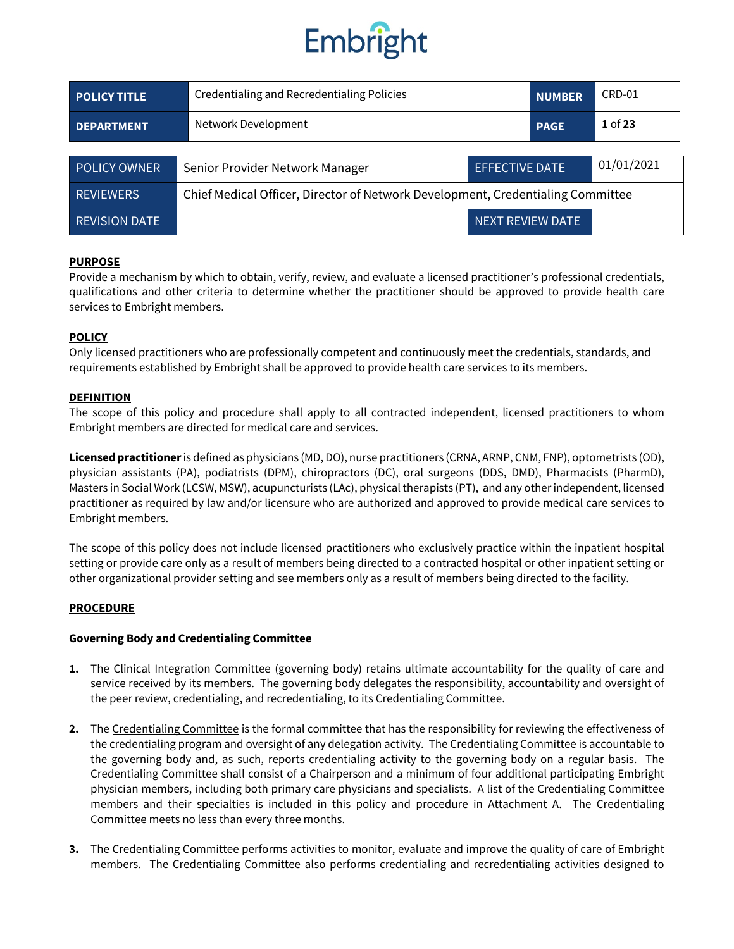

| <b>POLICY TITLE</b>  | Credentialing and Recredentialing Policies                                      |                       | <b>NUMBER</b> | CRD-01     |
|----------------------|---------------------------------------------------------------------------------|-----------------------|---------------|------------|
| <b>DEPARTMENT</b>    | Network Development                                                             |                       | <b>PAGE</b>   | $1$ of 23  |
|                      |                                                                                 |                       |               |            |
| <b>POLICY OWNER</b>  | Senior Provider Network Manager                                                 | <b>EFFECTIVE DATE</b> |               | 01/01/2021 |
| <b>REVIEWERS</b>     | Chief Medical Officer, Director of Network Development, Credentialing Committee |                       |               |            |
| <b>REVISION DATE</b> | NEXT REVIEW DATE                                                                |                       |               |            |

#### **PURPOSE**

Provide a mechanism by which to obtain, verify, review, and evaluate a licensed practitioner's professional credentials, qualifications and other criteria to determine whether the practitioner should be approved to provide health care services to Embright members.

#### **POLICY**

Only licensed practitioners who are professionally competent and continuously meet the credentials, standards, and requirements established by Embright shall be approved to provide health care services to its members.

#### **DEFINITION**

The scope of this policy and procedure shall apply to all contracted independent, licensed practitioners to whom Embright members are directed for medical care and services.

**Licensed practitioner**is defined as physicians (MD, DO), nurse practitioners (CRNA, ARNP, CNM, FNP), optometrists (OD), physician assistants (PA), podiatrists (DPM), chiropractors (DC), oral surgeons (DDS, DMD), Pharmacists (PharmD), Masters in Social Work (LCSW, MSW), acupuncturists (LAc), physical therapists (PT), and any other independent, licensed practitioner as required by law and/or licensure who are authorized and approved to provide medical care services to Embright members.

The scope of this policy does not include licensed practitioners who exclusively practice within the inpatient hospital setting or provide care only as a result of members being directed to a contracted hospital or other inpatient setting or other organizational provider setting and see members only as a result of members being directed to the facility.

#### **PROCEDURE**

#### **Governing Body and Credentialing Committee**

- **1.** The Clinical Integration Committee (governing body) retains ultimate accountability for the quality of care and service received by its members. The governing body delegates the responsibility, accountability and oversight of the peer review, credentialing, and recredentialing, to its Credentialing Committee.
- **2.** The Credentialing Committee is the formal committee that has the responsibility for reviewing the effectiveness of the credentialing program and oversight of any delegation activity. The Credentialing Committee is accountable to the governing body and, as such, reports credentialing activity to the governing body on a regular basis. The Credentialing Committee shall consist of a Chairperson and a minimum of four additional participating Embright physician members, including both primary care physicians and specialists. A list of the Credentialing Committee members and their specialties is included in this policy and procedure in Attachment A. The Credentialing Committee meets no less than every three months.
- **3.** The Credentialing Committee performs activities to monitor, evaluate and improve the quality of care of Embright members. The Credentialing Committee also performs credentialing and recredentialing activities designed to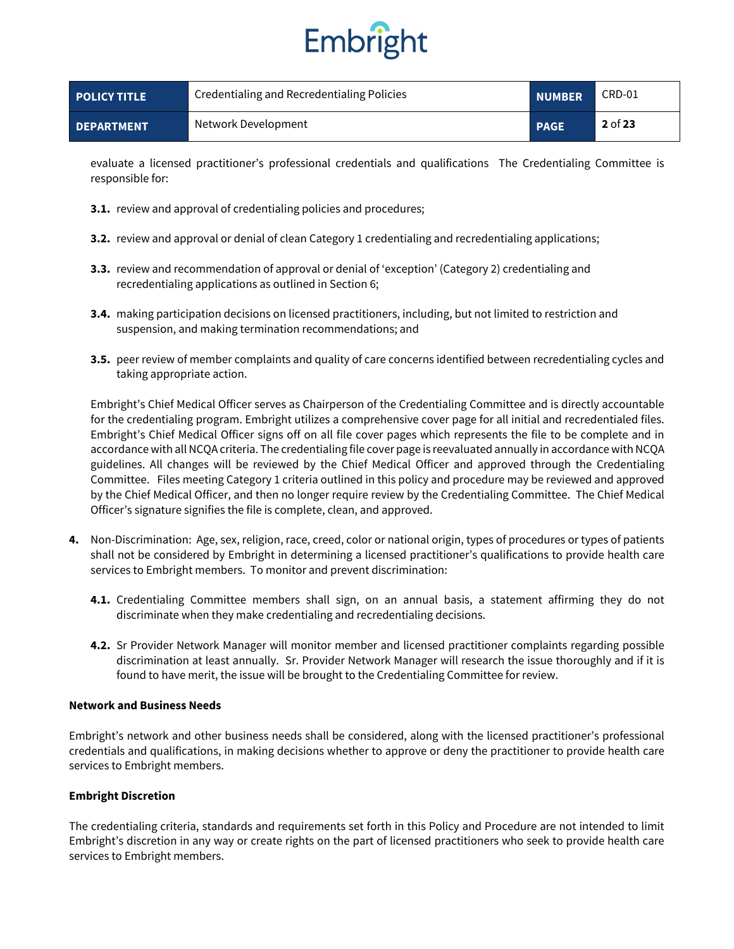

| <b>POLICY TITLE</b> | Credentialing and Recredentialing Policies | <b>NUMBER</b> | CRD-01    |
|---------------------|--------------------------------------------|---------------|-----------|
| <b>DEPARTMENT</b>   | Network Development                        | <b>PAGE</b>   | $2$ of 23 |

evaluate a licensed practitioner's professional credentials and qualifications The Credentialing Committee is responsible for:

- **3.1.** review and approval of credentialing policies and procedures;
- **3.2.** review and approval or denial of clean Category 1 credentialing and recredentialing applications;
- **3.3.** review and recommendation of approval or denial of 'exception' (Category 2) credentialing and recredentialing applications as outlined in Section 6;
- **3.4.** making participation decisions on licensed practitioners, including, but not limited to restriction and suspension, and making termination recommendations; and
- **3.5.** peer review of member complaints and quality of care concerns identified between recredentialing cycles and taking appropriate action.

Embright's Chief Medical Officer serves as Chairperson of the Credentialing Committee and is directly accountable for the credentialing program. Embright utilizes a comprehensive cover page for all initial and recredentialed files. Embright's Chief Medical Officer signs off on all file cover pages which represents the file to be complete and in accordance with all NCQA criteria. The credentialing file cover page is reevaluated annually in accordance with NCQA guidelines. All changes will be reviewed by the Chief Medical Officer and approved through the Credentialing Committee. Files meeting Category 1 criteria outlined in this policy and procedure may be reviewed and approved by the Chief Medical Officer, and then no longer require review by the Credentialing Committee. The Chief Medical Officer's signature signifies the file is complete, clean, and approved.

- **4.** Non-Discrimination: Age, sex, religion, race, creed, color or national origin, types of procedures or types of patients shall not be considered by Embright in determining a licensed practitioner's qualifications to provide health care services to Embright members. To monitor and prevent discrimination:
	- **4.1.** Credentialing Committee members shall sign, on an annual basis, a statement affirming they do not discriminate when they make credentialing and recredentialing decisions.
	- **4.2.** Sr Provider Network Manager will monitor member and licensed practitioner complaints regarding possible discrimination at least annually. Sr. Provider Network Manager will research the issue thoroughly and if it is found to have merit, the issue will be brought to the Credentialing Committee for review.

#### **Network and Business Needs**

Embright's network and other business needs shall be considered, along with the licensed practitioner's professional credentials and qualifications, in making decisions whether to approve or deny the practitioner to provide health care services to Embright members.

#### **Embright Discretion**

The credentialing criteria, standards and requirements set forth in this Policy and Procedure are not intended to limit Embright's discretion in any way or create rights on the part of licensed practitioners who seek to provide health care services to Embright members.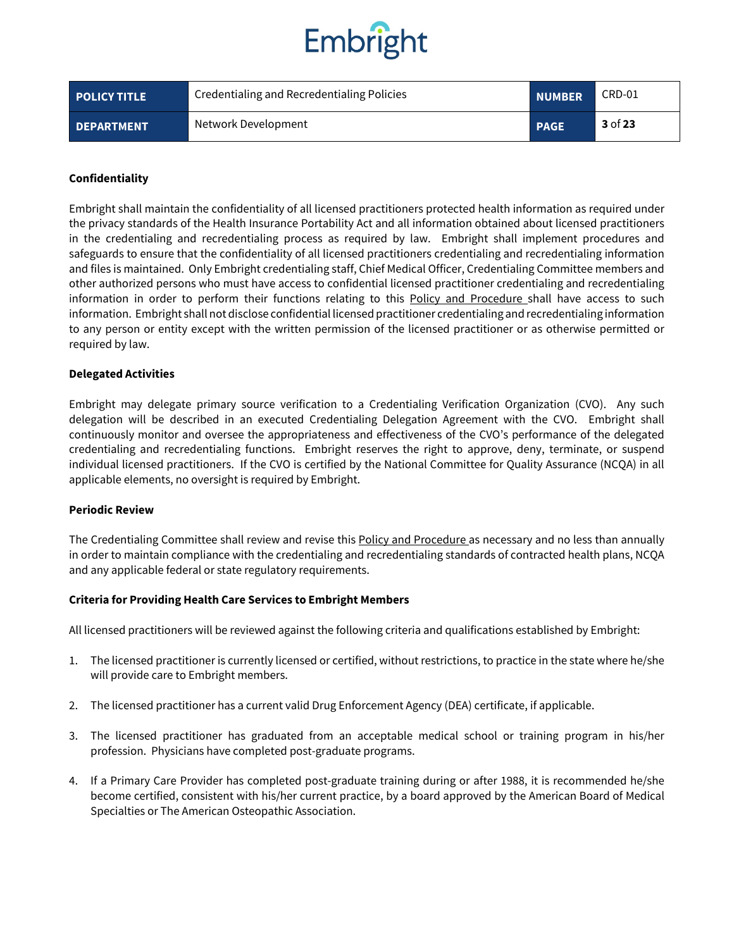

| <b>POLICY TITLE</b> | Credentialing and Recredentialing Policies | <b>NUMBER</b> | CRD-01  |
|---------------------|--------------------------------------------|---------------|---------|
| <b>DEPARTMENT</b>   | Network Development                        | <b>PAGE</b>   | 3 of 23 |

#### **Confidentiality**

Embright shall maintain the confidentiality of all licensed practitioners protected health information as required under the privacy standards of the Health Insurance Portability Act and all information obtained about licensed practitioners in the credentialing and recredentialing process as required by law. Embright shall implement procedures and safeguards to ensure that the confidentiality of all licensed practitioners credentialing and recredentialing information and files is maintained. Only Embright credentialing staff, Chief Medical Officer, Credentialing Committee members and other authorized persons who must have access to confidential licensed practitioner credentialing and recredentialing information in order to perform their functions relating to this Policy and Procedure shall have access to such information. Embright shall not disclose confidential licensed practitioner credentialing and recredentialing information to any person or entity except with the written permission of the licensed practitioner or as otherwise permitted or required by law.

#### **Delegated Activities**

Embright may delegate primary source verification to a Credentialing Verification Organization (CVO). Any such delegation will be described in an executed Credentialing Delegation Agreement with the CVO. Embright shall continuously monitor and oversee the appropriateness and effectiveness of the CVO's performance of the delegated credentialing and recredentialing functions. Embright reserves the right to approve, deny, terminate, or suspend individual licensed practitioners. If the CVO is certified by the National Committee for Quality Assurance (NCQA) in all applicable elements, no oversight is required by Embright.

#### **Periodic Review**

The Credentialing Committee shall review and revise this Policy and Procedure as necessary and no less than annually in order to maintain compliance with the credentialing and recredentialing standards of contracted health plans, NCQA and any applicable federal or state regulatory requirements.

#### **Criteria for Providing Health Care Services to Embright Members**

All licensed practitioners will be reviewed against the following criteria and qualifications established by Embright:

- 1. The licensed practitioner is currently licensed or certified, without restrictions, to practice in the state where he/she will provide care to Embright members.
- 2. The licensed practitioner has a current valid Drug Enforcement Agency (DEA) certificate, if applicable.
- 3. The licensed practitioner has graduated from an acceptable medical school or training program in his/her profession. Physicians have completed post-graduate programs.
- 4. If a Primary Care Provider has completed post-graduate training during or after 1988, it is recommended he/she become certified, consistent with his/her current practice, by a board approved by the American Board of Medical Specialties or The American Osteopathic Association.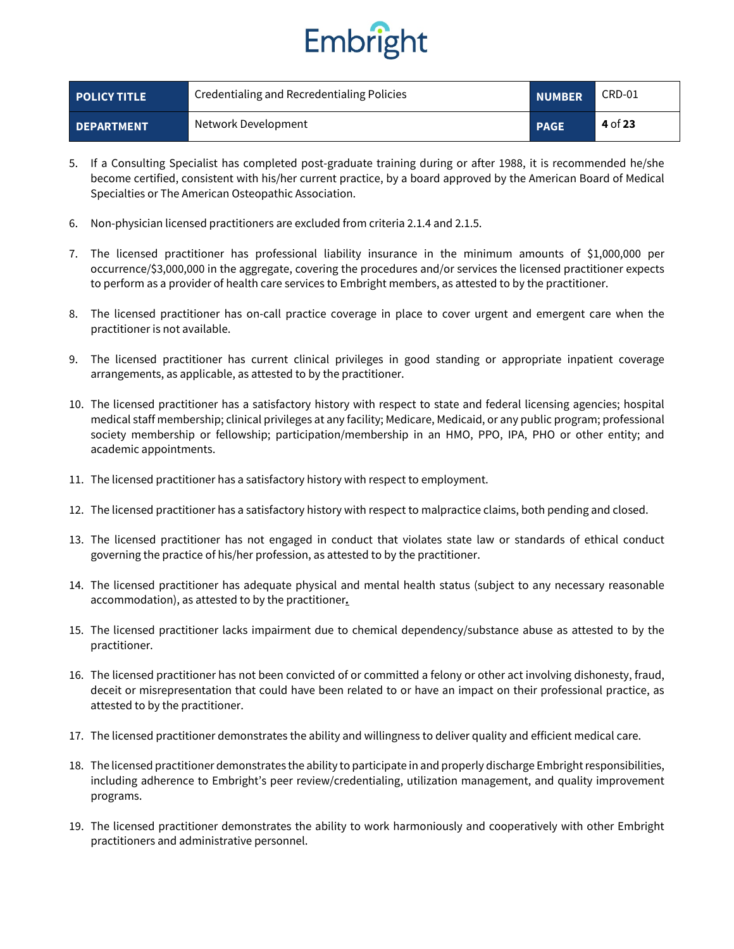

| <b>POLICY TITLE</b> | Credentialing and Recredentialing Policies | <b>NUMBER</b> | CRD-01  |
|---------------------|--------------------------------------------|---------------|---------|
| <b>DEPARTMENT</b>   | Network Development                        | <b>PAGE</b>   | 4 of 23 |

- 5. If a Consulting Specialist has completed post-graduate training during or after 1988, it is recommended he/she become certified, consistent with his/her current practice, by a board approved by the American Board of Medical Specialties or The American Osteopathic Association.
- 6. Non-physician licensed practitioners are excluded from criteria 2.1.4 and 2.1.5.
- 7. The licensed practitioner has professional liability insurance in the minimum amounts of \$1,000,000 per occurrence/\$3,000,000 in the aggregate, covering the procedures and/or services the licensed practitioner expects to perform as a provider of health care services to Embright members, as attested to by the practitioner.
- 8. The licensed practitioner has on-call practice coverage in place to cover urgent and emergent care when the practitioner is not available.
- 9. The licensed practitioner has current clinical privileges in good standing or appropriate inpatient coverage arrangements, as applicable, as attested to by the practitioner.
- 10. The licensed practitioner has a satisfactory history with respect to state and federal licensing agencies; hospital medical staff membership; clinical privileges at any facility; Medicare, Medicaid, or any public program; professional society membership or fellowship; participation/membership in an HMO, PPO, IPA, PHO or other entity; and academic appointments.
- 11. The licensed practitioner has a satisfactory history with respect to employment.
- 12. The licensed practitioner has a satisfactory history with respect to malpractice claims, both pending and closed.
- 13. The licensed practitioner has not engaged in conduct that violates state law or standards of ethical conduct governing the practice of his/her profession, as attested to by the practitioner.
- 14. The licensed practitioner has adequate physical and mental health status (subject to any necessary reasonable accommodation), as attested to by the practitioner*.*
- 15. The licensed practitioner lacks impairment due to chemical dependency/substance abuse as attested to by the practitioner.
- 16. The licensed practitioner has not been convicted of or committed a felony or other act involving dishonesty, fraud, deceit or misrepresentation that could have been related to or have an impact on their professional practice, as attested to by the practitioner.
- 17. The licensed practitioner demonstrates the ability and willingness to deliver quality and efficient medical care.
- 18. The licensed practitioner demonstrates the ability to participate in and properly discharge Embright responsibilities, including adherence to Embright's peer review/credentialing, utilization management, and quality improvement programs.
- 19. The licensed practitioner demonstrates the ability to work harmoniously and cooperatively with other Embright practitioners and administrative personnel.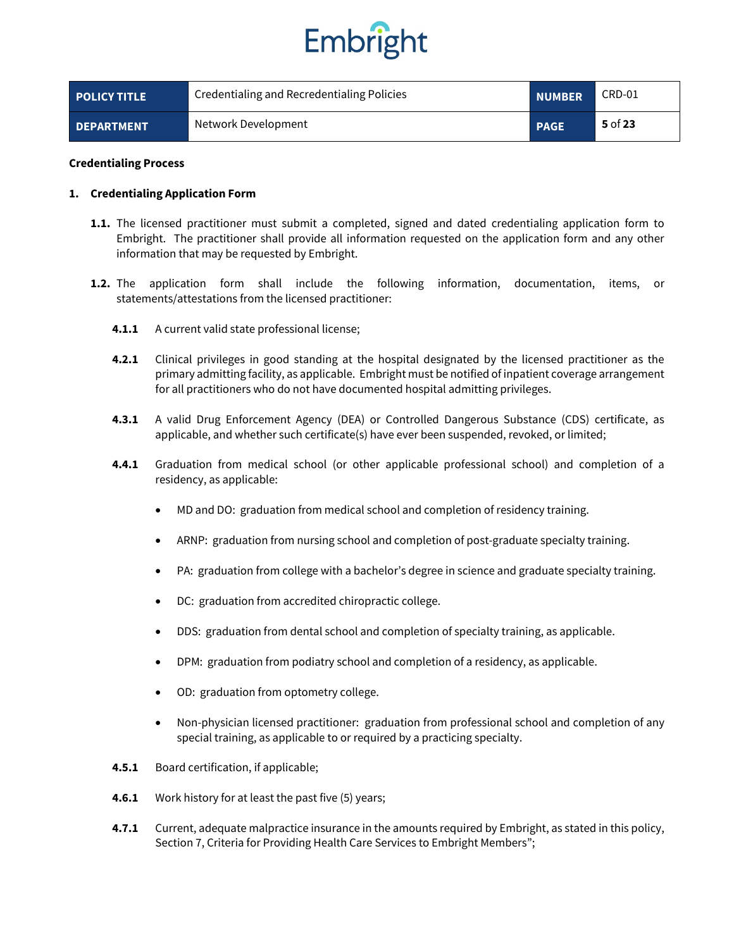

| <b>POLICY TITLE</b> | Credentialing and Recredentialing Policies | <b>NUMBER</b> | CRD-01    |
|---------------------|--------------------------------------------|---------------|-----------|
| <b>DEPARTMENT</b>   | Network Development                        | <b>PAGE</b>   | $5$ of 23 |

#### **Credentialing Process**

#### **1. Credentialing Application Form**

- **1.1.** The licensed practitioner must submit a completed, signed and dated credentialing application form to Embright. The practitioner shall provide all information requested on the application form and any other information that may be requested by Embright.
- **1.2.** The application form shall include the following information, documentation, items, or statements/attestations from the licensed practitioner:
	- **4.1.1** A current valid state professional license;
	- **4.2.1** Clinical privileges in good standing at the hospital designated by the licensed practitioner as the primary admitting facility, as applicable. Embright must be notified of inpatient coverage arrangement for all practitioners who do not have documented hospital admitting privileges.
	- **4.3.1** A valid Drug Enforcement Agency (DEA) or Controlled Dangerous Substance (CDS) certificate, as applicable, and whether such certificate(s) have ever been suspended, revoked, or limited;
	- **4.4.1** Graduation from medical school (or other applicable professional school) and completion of a residency, as applicable:
		- MD and DO: graduation from medical school and completion of residency training.
		- ARNP: graduation from nursing school and completion of post-graduate specialty training.
		- PA: graduation from college with a bachelor's degree in science and graduate specialty training.
		- DC: graduation from accredited chiropractic college.
		- DDS: graduation from dental school and completion of specialty training, as applicable.
		- DPM: graduation from podiatry school and completion of a residency, as applicable.
		- OD: graduation from optometry college.
		- Non-physician licensed practitioner: graduation from professional school and completion of any special training, as applicable to or required by a practicing specialty.
	- **4.5.1** Board certification, if applicable;
	- **4.6.1** Work history for at least the past five (5) years;
	- **4.7.1** Current, adequate malpractice insurance in the amounts required by Embright, as stated in this policy, Section 7, Criteria for Providing Health Care Services to Embright Members";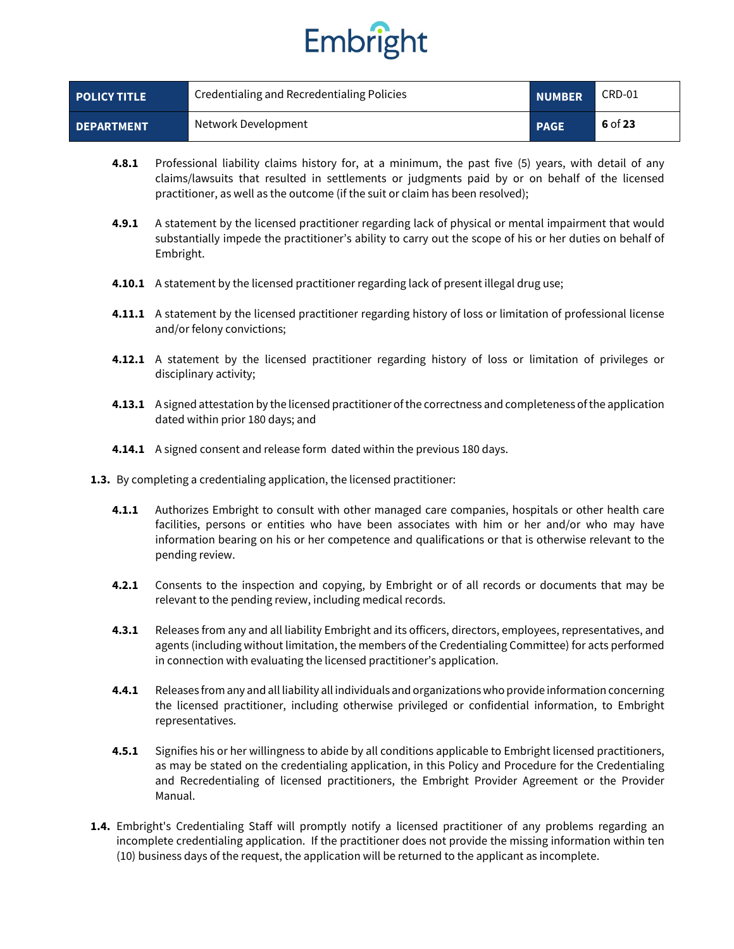| <b>POLICY TITLE</b> | Credentialing and Recredentialing Policies | <b>NUMBER</b> | CRD-01    |
|---------------------|--------------------------------------------|---------------|-----------|
| <b>DEPARTMENT</b>   | Network Development                        | <b>PAGE</b>   | $6$ of 23 |

- **4.8.1** Professional liability claims history for, at a minimum, the past five (5) years, with detail of any claims/lawsuits that resulted in settlements or judgments paid by or on behalf of the licensed practitioner, as well as the outcome (if the suit or claim has been resolved);
- **4.9.1** A statement by the licensed practitioner regarding lack of physical or mental impairment that would substantially impede the practitioner's ability to carry out the scope of his or her duties on behalf of Embright.
- **4.10.1** A statement by the licensed practitioner regarding lack of present illegal drug use;
- **4.11.1** A statement by the licensed practitioner regarding history of loss or limitation of professional license and/or felony convictions;
- **4.12.1** A statement by the licensed practitioner regarding history of loss or limitation of privileges or disciplinary activity;
- **4.13.1** A signed attestation by the licensed practitioner of the correctness and completeness of the application dated within prior 180 days; and
- **4.14.1** A signed consent and release form dated within the previous 180 days.
- **1.3.** By completing a credentialing application, the licensed practitioner:
	- **4.1.1** Authorizes Embright to consult with other managed care companies, hospitals or other health care facilities, persons or entities who have been associates with him or her and/or who may have information bearing on his or her competence and qualifications or that is otherwise relevant to the pending review.
	- **4.2.1** Consents to the inspection and copying, by Embright or of all records or documents that may be relevant to the pending review, including medical records.
	- **4.3.1** Releases from any and all liability Embright and its officers, directors, employees, representatives, and agents (including without limitation, the members of the Credentialing Committee) for acts performed in connection with evaluating the licensed practitioner's application.
	- **4.4.1** Releases from any and all liability all individuals and organizations who provide information concerning the licensed practitioner, including otherwise privileged or confidential information, to Embright representatives.
	- **4.5.1** Signifies his or her willingness to abide by all conditions applicable to Embright licensed practitioners, as may be stated on the credentialing application, in this Policy and Procedure for the Credentialing and Recredentialing of licensed practitioners, the Embright Provider Agreement or the Provider Manual.
- **1.4.** Embright's Credentialing Staff will promptly notify a licensed practitioner of any problems regarding an incomplete credentialing application. If the practitioner does not provide the missing information within ten (10) business days of the request, the application will be returned to the applicant as incomplete.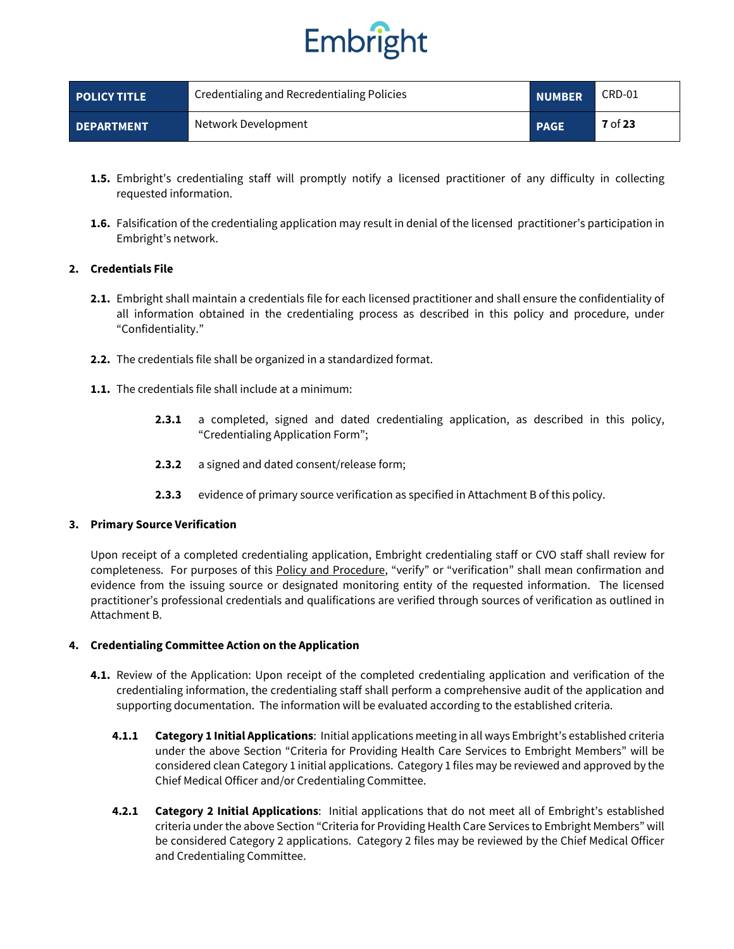

| <b>POLICY TITLE</b> | Credentialing and Recredentialing Policies | <b>NUMBER</b> | CRD-01         |
|---------------------|--------------------------------------------|---------------|----------------|
| <b>DEPARTMENT</b>   | Network Development                        | <b>PAGE</b>   | <b>7</b> of 23 |

- **1.5.** Embright's credentialing staff will promptly notify a licensed practitioner of any difficulty in collecting requested information.
- **1.6.** Falsification of the credentialing application may result in denial of the licensed practitioner's participation in Embright's network.

#### **2. Credentials File**

- **2.1.** Embright shall maintain a credentials file for each licensed practitioner and shall ensure the confidentiality of all information obtained in the credentialing process as described in this policy and procedure, under "Confidentiality."
- **2.2.** The credentials file shall be organized in a standardized format.
- **1.1.** The credentials file shall include at a minimum:
	- **2.3.1** a completed, signed and dated credentialing application, as described in this policy, "Credentialing Application Form";
	- **2.3.2** a signed and dated consent/release form;
	- **2.3.3** evidence of primary source verification as specified in Attachment B of this policy.

#### **3. Primary Source Verification**

Upon receipt of a completed credentialing application, Embright credentialing staff or CVO staff shall review for completeness. For purposes of this Policy and Procedure, "verify" or "verification" shall mean confirmation and evidence from the issuing source or designated monitoring entity of the requested information. The licensed practitioner's professional credentials and qualifications are verified through sources of verification as outlined in Attachment B.

#### **4. Credentialing Committee Action on the Application**

- **4.1.** Review of the Application: Upon receipt of the completed credentialing application and verification of the credentialing information, the credentialing staff shall perform a comprehensive audit of the application and supporting documentation. The information will be evaluated according to the established criteria.
	- **4.1.1 Category 1 Initial Applications**: Initial applications meeting in all ways Embright's established criteria under the above Section "Criteria for Providing Health Care Services to Embright Members" will be considered clean Category 1 initial applications. Category 1 files may be reviewed and approved by the Chief Medical Officer and/or Credentialing Committee.
	- **4.2.1 Category 2 Initial Applications**: Initial applications that do not meet all of Embright's established criteria under the above Section "Criteria for Providing Health Care Services to Embright Members" will be considered Category 2 applications. Category 2 files may be reviewed by the Chief Medical Officer and Credentialing Committee.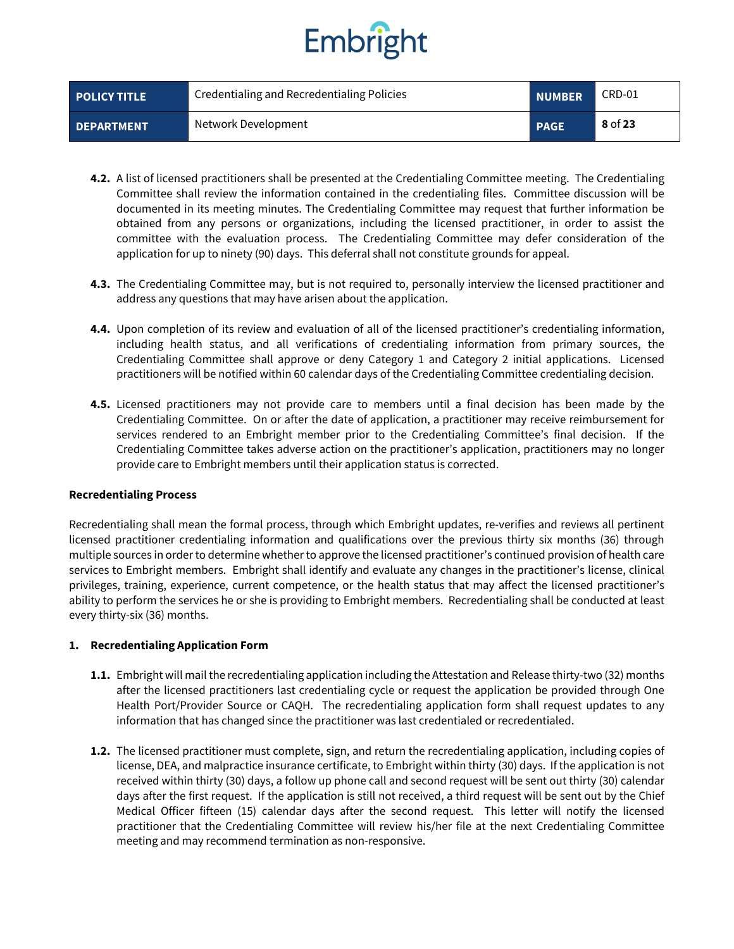| <b>POLICY TITLE</b> | Credentialing and Recredentialing Policies | <b>NUMBER</b> | CRD-01  |
|---------------------|--------------------------------------------|---------------|---------|
| <b>DEPARTMENT</b>   | Network Development                        | <b>PAGE</b>   | 8 of 23 |

- **4.2.** A list of licensed practitioners shall be presented at the Credentialing Committee meeting. The Credentialing Committee shall review the information contained in the credentialing files. Committee discussion will be documented in its meeting minutes. The Credentialing Committee may request that further information be obtained from any persons or organizations, including the licensed practitioner, in order to assist the committee with the evaluation process. The Credentialing Committee may defer consideration of the application for up to ninety (90) days. This deferral shall not constitute grounds for appeal.
- **4.3.** The Credentialing Committee may, but is not required to, personally interview the licensed practitioner and address any questions that may have arisen about the application.
- **4.4.** Upon completion of its review and evaluation of all of the licensed practitioner's credentialing information, including health status, and all verifications of credentialing information from primary sources, the Credentialing Committee shall approve or deny Category 1 and Category 2 initial applications. Licensed practitioners will be notified within 60 calendar days of the Credentialing Committee credentialing decision.
- **4.5.** Licensed practitioners may not provide care to members until a final decision has been made by the Credentialing Committee. On or after the date of application, a practitioner may receive reimbursement for services rendered to an Embright member prior to the Credentialing Committee's final decision. If the Credentialing Committee takes adverse action on the practitioner's application, practitioners may no longer provide care to Embright members until their application status is corrected.

#### **Recredentialing Process**

Recredentialing shall mean the formal process, through which Embright updates, re-verifies and reviews all pertinent licensed practitioner credentialing information and qualifications over the previous thirty six months (36) through multiple sources in order to determine whether to approve the licensed practitioner's continued provision of health care services to Embright members. Embright shall identify and evaluate any changes in the practitioner's license, clinical privileges, training, experience, current competence, or the health status that may affect the licensed practitioner's ability to perform the services he or she is providing to Embright members. Recredentialing shall be conducted at least every thirty-six (36) months.

#### **1. Recredentialing Application Form**

- **1.1.** Embright will mail the recredentialing application including the Attestation and Release thirty-two (32) months after the licensed practitioners last credentialing cycle or request the application be provided through One Health Port/Provider Source or CAQH. The recredentialing application form shall request updates to any information that has changed since the practitioner was last credentialed or recredentialed.
- **1.2.** The licensed practitioner must complete, sign, and return the recredentialing application, including copies of license, DEA, and malpractice insurance certificate, to Embright within thirty (30) days. If the application is not received within thirty (30) days, a follow up phone call and second request will be sent out thirty (30) calendar days after the first request. If the application is still not received, a third request will be sent out by the Chief Medical Officer fifteen (15) calendar days after the second request. This letter will notify the licensed practitioner that the Credentialing Committee will review his/her file at the next Credentialing Committee meeting and may recommend termination as non-responsive.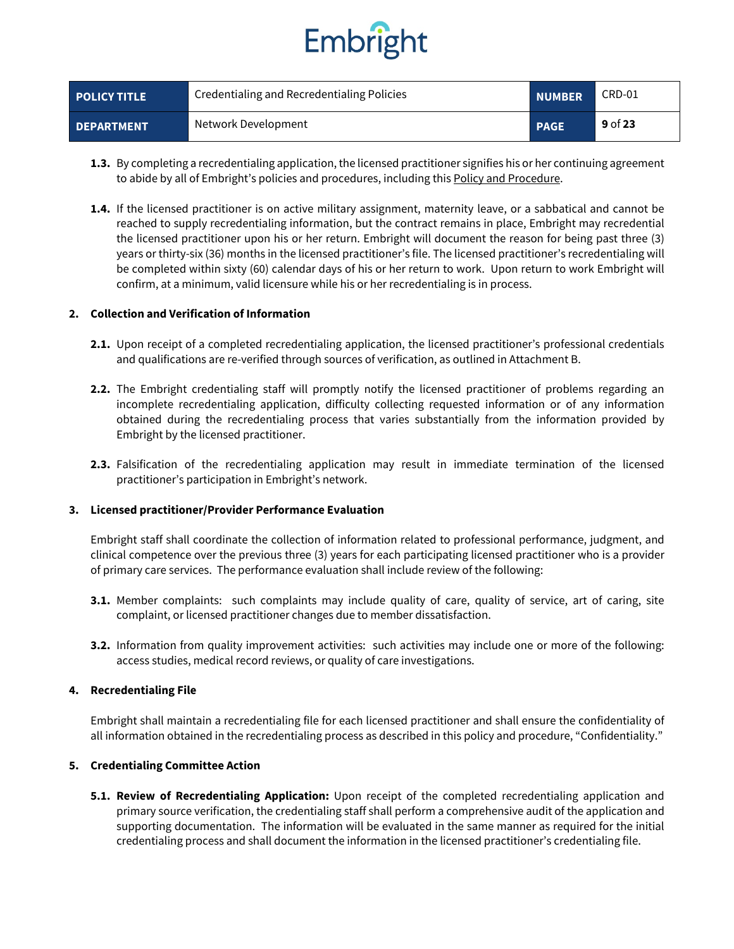

| <b>POLICY TITLE</b> | Credentialing and Recredentialing Policies | <b>NUMBER</b> | CRD-01    |
|---------------------|--------------------------------------------|---------------|-----------|
| <b>DEPARTMENT</b>   | Network Development                        | <b>PAGE</b>   | $9$ of 23 |

- **1.3.** By completing a recredentialing application, the licensed practitioner signifies his or her continuing agreement to abide by all of Embright's policies and procedures, including this Policy and Procedure.
- **1.4.** If the licensed practitioner is on active military assignment, maternity leave, or a sabbatical and cannot be reached to supply recredentialing information, but the contract remains in place, Embright may recredential the licensed practitioner upon his or her return. Embright will document the reason for being past three (3) years or thirty-six (36) months in the licensed practitioner's file. The licensed practitioner's recredentialing will be completed within sixty (60) calendar days of his or her return to work. Upon return to work Embright will confirm, at a minimum, valid licensure while his or her recredentialing is in process.

#### **2. Collection and Verification of Information**

- **2.1.** Upon receipt of a completed recredentialing application, the licensed practitioner's professional credentials and qualifications are re-verified through sources of verification, as outlined in Attachment B.
- **2.2.** The Embright credentialing staff will promptly notify the licensed practitioner of problems regarding an incomplete recredentialing application, difficulty collecting requested information or of any information obtained during the recredentialing process that varies substantially from the information provided by Embright by the licensed practitioner.
- **2.3.** Falsification of the recredentialing application may result in immediate termination of the licensed practitioner's participation in Embright's network.

#### **3. Licensed practitioner/Provider Performance Evaluation**

Embright staff shall coordinate the collection of information related to professional performance, judgment, and clinical competence over the previous three (3) years for each participating licensed practitioner who is a provider of primary care services. The performance evaluation shall include review of the following:

- **3.1.** Member complaints: such complaints may include quality of care, quality of service, art of caring, site complaint, or licensed practitioner changes due to member dissatisfaction.
- **3.2.** Information from quality improvement activities: such activities may include one or more of the following: access studies, medical record reviews, or quality of care investigations.

#### **4. Recredentialing File**

Embright shall maintain a recredentialing file for each licensed practitioner and shall ensure the confidentiality of all information obtained in the recredentialing process as described in this policy and procedure, "Confidentiality."

#### **5. Credentialing Committee Action**

**5.1. Review of Recredentialing Application:** Upon receipt of the completed recredentialing application and primary source verification, the credentialing staff shall perform a comprehensive audit of the application and supporting documentation. The information will be evaluated in the same manner as required for the initial credentialing process and shall document the information in the licensed practitioner's credentialing file.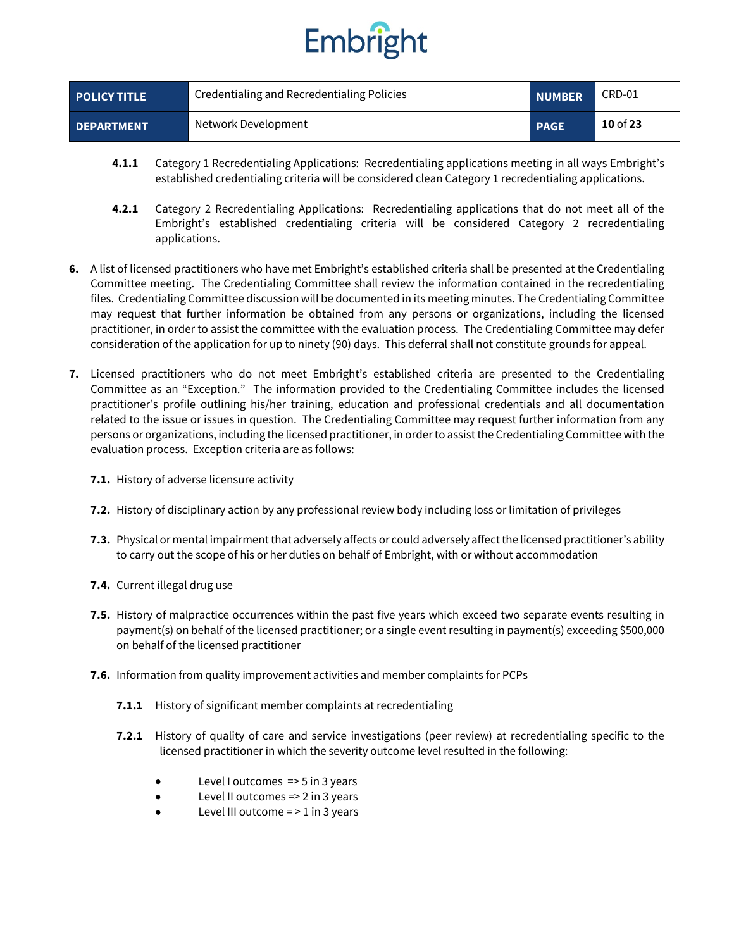

| <b>POLICY TITLE</b> | Credentialing and Recredentialing Policies | <b>NUMBER</b> | CRD-01   |
|---------------------|--------------------------------------------|---------------|----------|
| <b>DEPARTMENT</b>   | Network Development                        | <b>PAGE</b>   | 10 of 23 |

- **4.1.1** Category 1 Recredentialing Applications: Recredentialing applications meeting in all ways Embright's established credentialing criteria will be considered clean Category 1 recredentialing applications.
- **4.2.1** Category 2 Recredentialing Applications: Recredentialing applications that do not meet all of the Embright's established credentialing criteria will be considered Category 2 recredentialing applications.
- **6.** A list of licensed practitioners who have met Embright's established criteria shall be presented at the Credentialing Committee meeting. The Credentialing Committee shall review the information contained in the recredentialing files. Credentialing Committee discussion will be documented in its meeting minutes. The Credentialing Committee may request that further information be obtained from any persons or organizations, including the licensed practitioner, in order to assist the committee with the evaluation process. The Credentialing Committee may defer consideration of the application for up to ninety (90) days. This deferral shall not constitute grounds for appeal.
- **7.** Licensed practitioners who do not meet Embright's established criteria are presented to the Credentialing Committee as an "Exception." The information provided to the Credentialing Committee includes the licensed practitioner's profile outlining his/her training, education and professional credentials and all documentation related to the issue or issues in question. The Credentialing Committee may request further information from any persons or organizations, including the licensed practitioner, in order to assist the Credentialing Committee with the evaluation process. Exception criteria are as follows:
	- **7.1.** History of adverse licensure activity
	- **7.2.** History of disciplinary action by any professional review body including loss or limitation of privileges
	- **7.3.** Physical or mental impairment that adversely affects or could adversely affect the licensed practitioner's ability to carry out the scope of his or her duties on behalf of Embright, with or without accommodation
	- **7.4.** Current illegal drug use
	- **7.5.** History of malpractice occurrences within the past five years which exceed two separate events resulting in payment(s) on behalf of the licensed practitioner; or a single event resulting in payment(s) exceeding \$500,000 on behalf of the licensed practitioner
	- **7.6.** Information from quality improvement activities and member complaints for PCPs
		- **7.1.1** History of significant member complaints at recredentialing
		- **7.2.1** History of quality of care and service investigations (peer review) at recredentialing specific to the licensed practitioner in which the severity outcome level resulted in the following:
			- Level I outcomes => 5 in 3 years
			- Level II outcomes  $\approx$  2 in 3 years
			- Level III outcome  $=$   $>$  1 in 3 years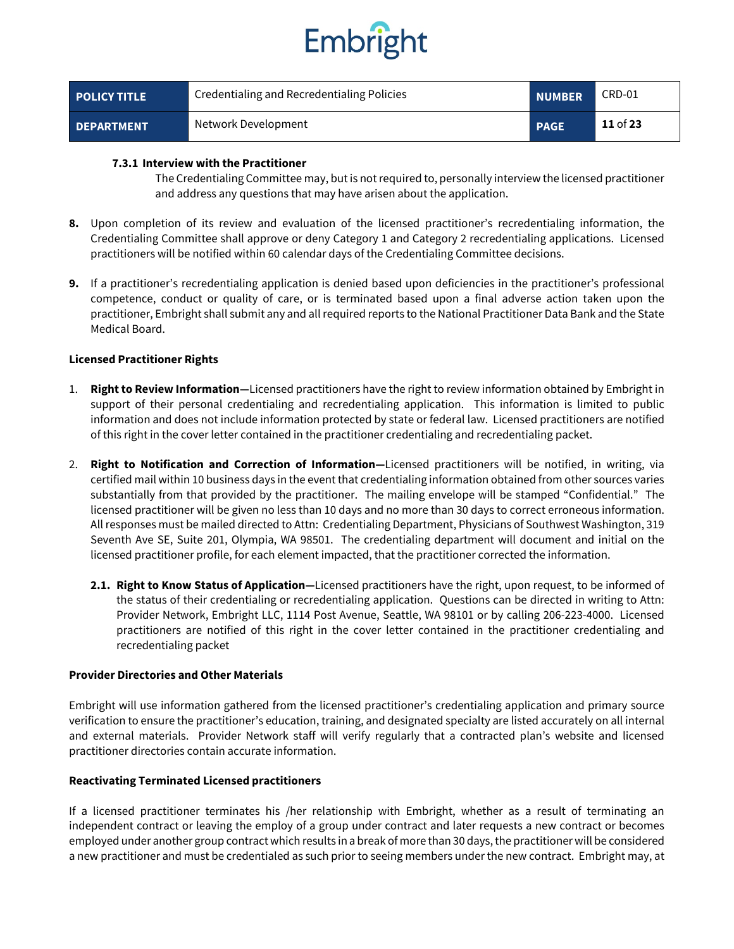

| <b>POLICY TITLE</b> | Credentialing and Recredentialing Policies | <b>NUMBER</b> | CRD-01          |
|---------------------|--------------------------------------------|---------------|-----------------|
| <b>DEPARTMENT</b>   | Network Development                        | <b>PAGE</b>   | <b>11</b> of 23 |

#### **7.3.1 Interview with the Practitioner**

The Credentialing Committee may, but is not required to, personally interview the licensed practitioner and address any questions that may have arisen about the application.

- **8.** Upon completion of its review and evaluation of the licensed practitioner's recredentialing information, the Credentialing Committee shall approve or deny Category 1 and Category 2 recredentialing applications. Licensed practitioners will be notified within 60 calendar days of the Credentialing Committee decisions.
- **9.** If a practitioner's recredentialing application is denied based upon deficiencies in the practitioner's professional competence, conduct or quality of care, or is terminated based upon a final adverse action taken upon the practitioner, Embright shall submit any and all required reports to the National Practitioner Data Bank and the State Medical Board.

#### **Licensed Practitioner Rights**

- 1. **Right to Review Information—**Licensed practitioners have the right to review information obtained by Embright in support of their personal credentialing and recredentialing application. This information is limited to public information and does not include information protected by state or federal law. Licensed practitioners are notified of this right in the cover letter contained in the practitioner credentialing and recredentialing packet.
- 2. **Right to Notification and Correction of Information—**Licensed practitioners will be notified, in writing, via certified mail within 10 business days in the event that credentialing information obtained from other sources varies substantially from that provided by the practitioner. The mailing envelope will be stamped "Confidential." The licensed practitioner will be given no less than 10 days and no more than 30 days to correct erroneous information. All responses must be mailed directed to Attn: Credentialing Department, Physicians of Southwest Washington, 319 Seventh Ave SE, Suite 201, Olympia, WA 98501. The credentialing department will document and initial on the licensed practitioner profile, for each element impacted, that the practitioner corrected the information.
	- **2.1. Right to Know Status of Application—**Licensed practitioners have the right, upon request, to be informed of the status of their credentialing or recredentialing application. Questions can be directed in writing to Attn: Provider Network, Embright LLC, 1114 Post Avenue, Seattle, WA 98101 or by calling 206-223-4000. Licensed practitioners are notified of this right in the cover letter contained in the practitioner credentialing and recredentialing packet

#### **Provider Directories and Other Materials**

Embright will use information gathered from the licensed practitioner's credentialing application and primary source verification to ensure the practitioner's education, training, and designated specialty are listed accurately on all internal and external materials. Provider Network staff will verify regularly that a contracted plan's website and licensed practitioner directories contain accurate information.

#### **Reactivating Terminated Licensed practitioners**

If a licensed practitioner terminates his /her relationship with Embright, whether as a result of terminating an independent contract or leaving the employ of a group under contract and later requests a new contract or becomes employed under another group contract which results in a break of more than 30 days, the practitioner will be considered a new practitioner and must be credentialed as such prior to seeing members under the new contract. Embright may, at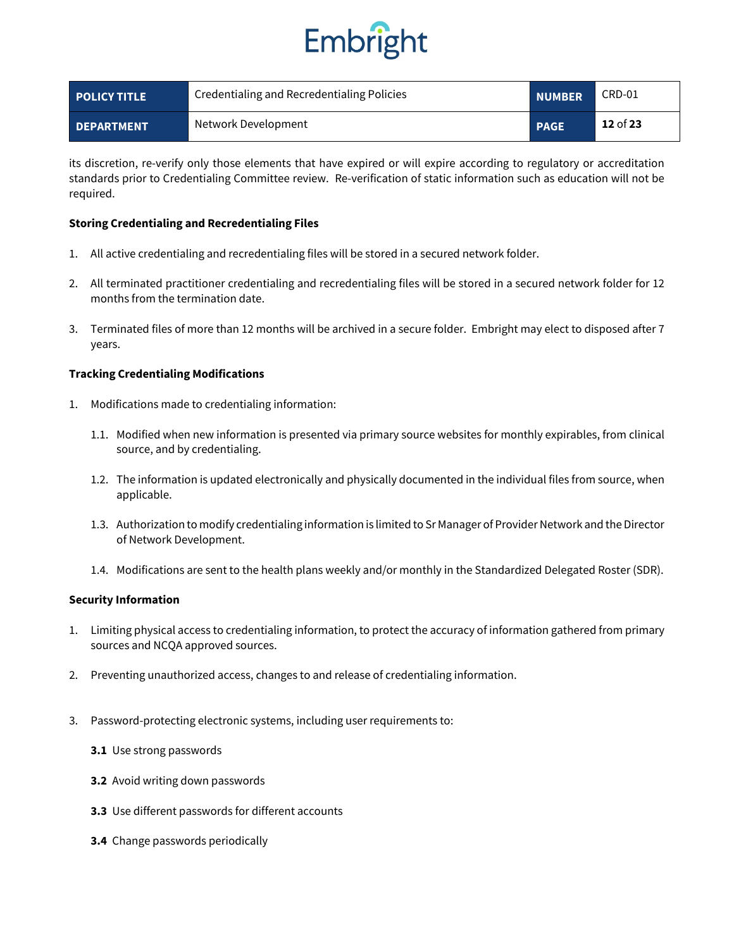

| <b>POLICY TITLE</b> | Credentialing and Recredentialing Policies | <b>NUMBER</b> | CRD-01   |
|---------------------|--------------------------------------------|---------------|----------|
| <b>DEPARTMENT</b>   | Network Development                        | <b>PAGE</b>   | 12 of 23 |

its discretion, re-verify only those elements that have expired or will expire according to regulatory or accreditation standards prior to Credentialing Committee review. Re-verification of static information such as education will not be required.

#### **Storing Credentialing and Recredentialing Files**

- 1. All active credentialing and recredentialing files will be stored in a secured network folder.
- 2. All terminated practitioner credentialing and recredentialing files will be stored in a secured network folder for 12 months from the termination date.
- 3. Terminated files of more than 12 months will be archived in a secure folder. Embright may elect to disposed after 7 years.

#### **Tracking Credentialing Modifications**

- 1. Modifications made to credentialing information:
	- 1.1. Modified when new information is presented via primary source websites for monthly expirables, from clinical source, and by credentialing.
	- 1.2. The information is updated electronically and physically documented in the individual files from source, when applicable.
	- 1.3. Authorization to modify credentialing information is limited to Sr Manager of Provider Network and the Director of Network Development.
	- 1.4. Modifications are sent to the health plans weekly and/or monthly in the Standardized Delegated Roster (SDR).

#### **Security Information**

- 1. Limiting physical access to credentialing information, to protect the accuracy of information gathered from primary sources and NCQA approved sources.
- 2. Preventing unauthorized access, changes to and release of credentialing information.
- 3. Password-protecting electronic systems, including user requirements to:
	- **3.1** Use strong passwords
	- **3.2** Avoid writing down passwords
	- **3.3** Use different passwords for different accounts
	- **3.4** Change passwords periodically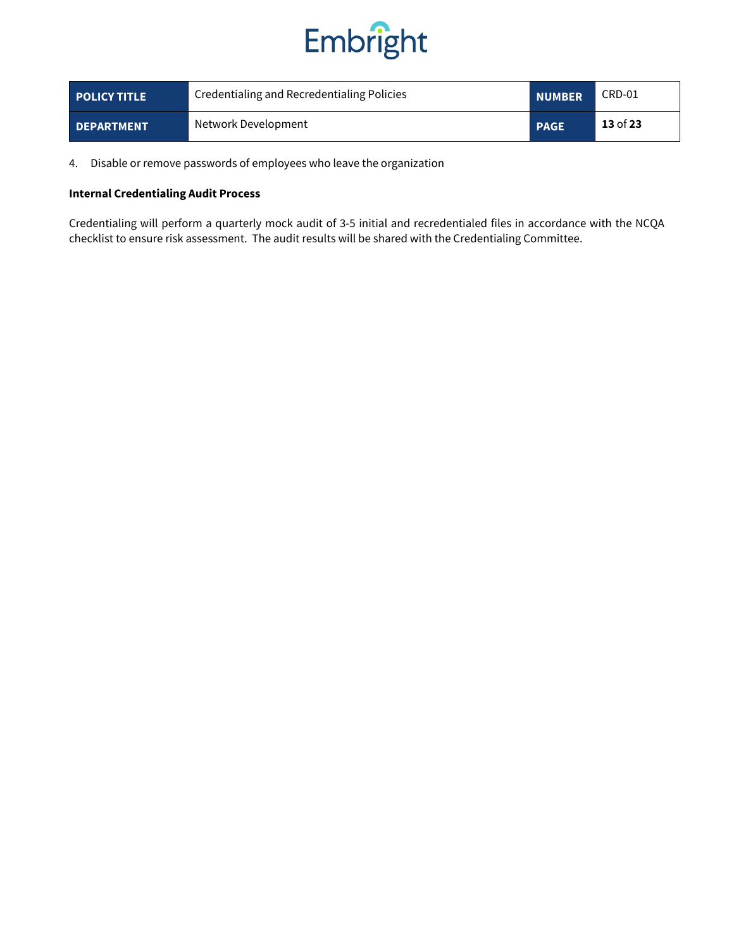

| <b>POLICY TITLE</b> | Credentialing and Recredentialing Policies | <b>NUMBER</b> | CRD-01   |
|---------------------|--------------------------------------------|---------------|----------|
| <b>DEPARTMENT</b>   | Network Development                        | <b>PAGE</b>   | 13 of 23 |

4. Disable or remove passwords of employees who leave the organization

#### **Internal Credentialing Audit Process**

Credentialing will perform a quarterly mock audit of 3-5 initial and recredentialed files in accordance with the NCQA checklist to ensure risk assessment. The audit results will be shared with the Credentialing Committee.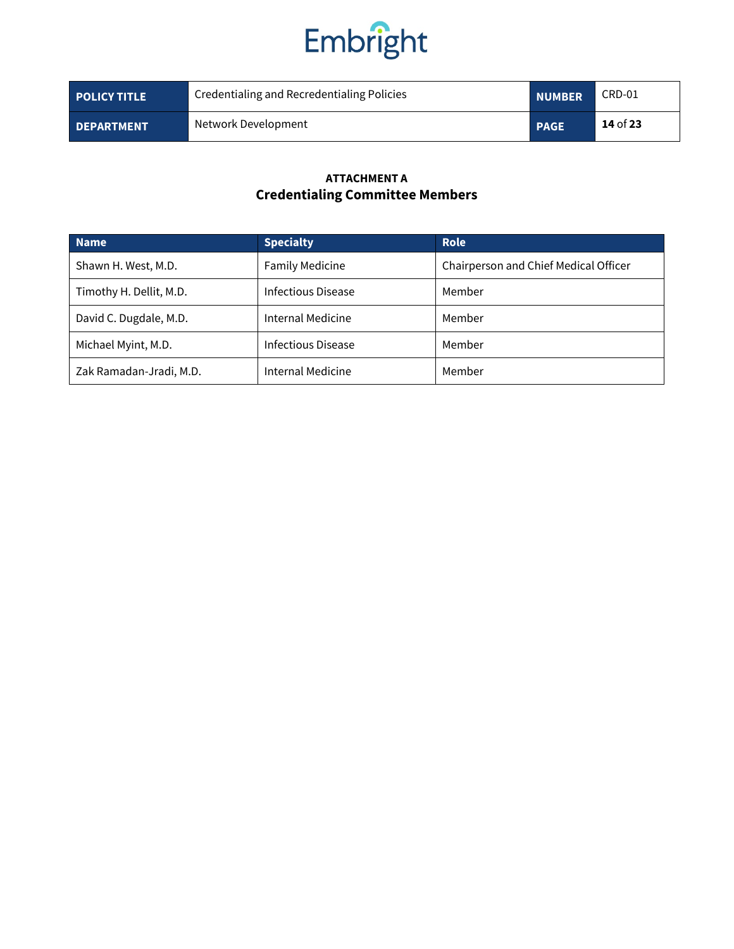

| <b>POLICY TITLE</b> | Credentialing and Recredentialing Policies | <b>NUMBER</b> | CRD-01     |
|---------------------|--------------------------------------------|---------------|------------|
| <b>DEPARTMENT</b>   | Network Development                        | <b>PAGE</b>   | $14$ of 23 |

### **ATTACHMENT A Credentialing Committee Members**

| <b>Name</b>             | <b>Specialty</b>       | Role                                  |
|-------------------------|------------------------|---------------------------------------|
| Shawn H. West, M.D.     | <b>Family Medicine</b> | Chairperson and Chief Medical Officer |
| Timothy H. Dellit, M.D. | Infectious Disease     | Member                                |
| David C. Dugdale, M.D.  | Internal Medicine      | Member                                |
| Michael Myint, M.D.     | Infectious Disease     | Member                                |
| Zak Ramadan-Jradi, M.D. | Internal Medicine      | Member                                |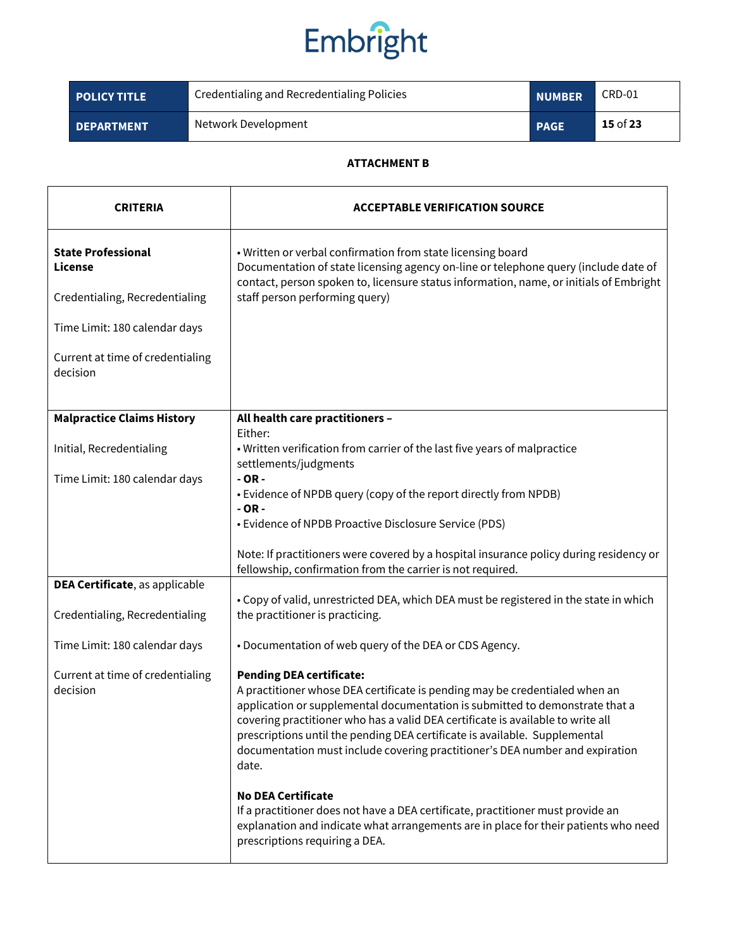| <b>POLICY TITLE</b> | Credentialing and Recredentialing Policies | <b>NUMBER</b> | CRD-01     |
|---------------------|--------------------------------------------|---------------|------------|
| <b>DEPARTMENT</b>   | Network Development                        | <b>PAGE</b>   | $15$ of 23 |

#### **ATTACHMENT B**

| <b>CRITERIA</b>                              | <b>ACCEPTABLE VERIFICATION SOURCE</b>                                                                                                                                                                                                                                                                                                                                                                                                                    |  |  |
|----------------------------------------------|----------------------------------------------------------------------------------------------------------------------------------------------------------------------------------------------------------------------------------------------------------------------------------------------------------------------------------------------------------------------------------------------------------------------------------------------------------|--|--|
| <b>State Professional</b><br>License         | • Written or verbal confirmation from state licensing board<br>Documentation of state licensing agency on-line or telephone query (include date of<br>contact, person spoken to, licensure status information, name, or initials of Embright                                                                                                                                                                                                             |  |  |
| Credentialing, Recredentialing               | staff person performing query)                                                                                                                                                                                                                                                                                                                                                                                                                           |  |  |
| Time Limit: 180 calendar days                |                                                                                                                                                                                                                                                                                                                                                                                                                                                          |  |  |
| Current at time of credentialing<br>decision |                                                                                                                                                                                                                                                                                                                                                                                                                                                          |  |  |
| <b>Malpractice Claims History</b>            | All health care practitioners -                                                                                                                                                                                                                                                                                                                                                                                                                          |  |  |
|                                              | Either:                                                                                                                                                                                                                                                                                                                                                                                                                                                  |  |  |
| Initial, Recredentialing                     | . Written verification from carrier of the last five years of malpractice<br>settlements/judgments                                                                                                                                                                                                                                                                                                                                                       |  |  |
| Time Limit: 180 calendar days                | $-OR -$                                                                                                                                                                                                                                                                                                                                                                                                                                                  |  |  |
|                                              | • Evidence of NPDB query (copy of the report directly from NPDB)<br>$-OR -$                                                                                                                                                                                                                                                                                                                                                                              |  |  |
|                                              | • Evidence of NPDB Proactive Disclosure Service (PDS)                                                                                                                                                                                                                                                                                                                                                                                                    |  |  |
|                                              | Note: If practitioners were covered by a hospital insurance policy during residency or<br>fellowship, confirmation from the carrier is not required.                                                                                                                                                                                                                                                                                                     |  |  |
| DEA Certificate, as applicable               |                                                                                                                                                                                                                                                                                                                                                                                                                                                          |  |  |
| Credentialing, Recredentialing               | • Copy of valid, unrestricted DEA, which DEA must be registered in the state in which<br>the practitioner is practicing.                                                                                                                                                                                                                                                                                                                                 |  |  |
| Time Limit: 180 calendar days                | • Documentation of web query of the DEA or CDS Agency.                                                                                                                                                                                                                                                                                                                                                                                                   |  |  |
| Current at time of credentialing<br>decision | <b>Pending DEA certificate:</b><br>A practitioner whose DEA certificate is pending may be credentialed when an<br>application or supplemental documentation is submitted to demonstrate that a<br>covering practitioner who has a valid DEA certificate is available to write all<br>prescriptions until the pending DEA certificate is available. Supplemental<br>documentation must include covering practitioner's DEA number and expiration<br>date. |  |  |
|                                              | <b>No DEA Certificate</b><br>If a practitioner does not have a DEA certificate, practitioner must provide an<br>explanation and indicate what arrangements are in place for their patients who need<br>prescriptions requiring a DEA.                                                                                                                                                                                                                    |  |  |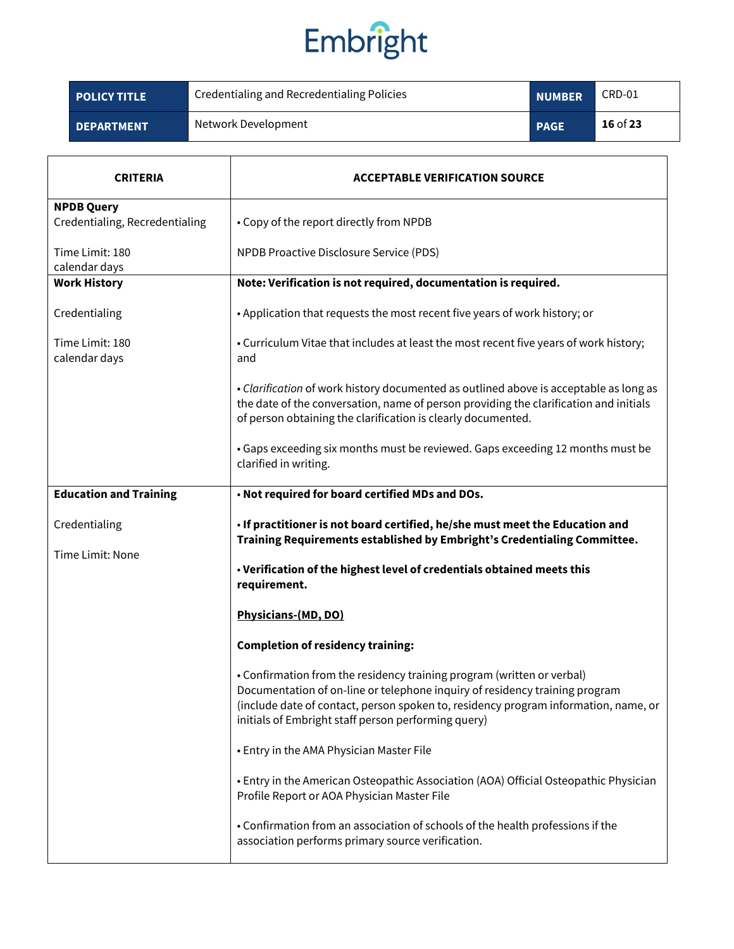| <b>POLICY TITLE</b> | Credentialing and Recredentialing Policies | <b>NUMBER</b> | CRD-01     |
|---------------------|--------------------------------------------|---------------|------------|
| <b>DEPARTMENT</b>   | Network Development                        | <b>PAGE</b>   | $16$ of 23 |

| CRITERIA                                            | <b>ACCEPTABLE VERIFICATION SOURCE</b>                                                                                                                                                                                                                                                               |  |  |  |
|-----------------------------------------------------|-----------------------------------------------------------------------------------------------------------------------------------------------------------------------------------------------------------------------------------------------------------------------------------------------------|--|--|--|
| <b>NPDB Query</b><br>Credentialing, Recredentialing | • Copy of the report directly from NPDB                                                                                                                                                                                                                                                             |  |  |  |
| Time Limit: 180<br>calendar days                    | NPDB Proactive Disclosure Service (PDS)                                                                                                                                                                                                                                                             |  |  |  |
| <b>Work History</b>                                 | Note: Verification is not required, documentation is required.                                                                                                                                                                                                                                      |  |  |  |
| Credentialing                                       | • Application that requests the most recent five years of work history; or                                                                                                                                                                                                                          |  |  |  |
| Time Limit: 180<br>calendar days                    | • Curriculum Vitae that includes at least the most recent five years of work history;<br>and                                                                                                                                                                                                        |  |  |  |
|                                                     | • Clarification of work history documented as outlined above is acceptable as long as<br>the date of the conversation, name of person providing the clarification and initials<br>of person obtaining the clarification is clearly documented.                                                      |  |  |  |
|                                                     | • Gaps exceeding six months must be reviewed. Gaps exceeding 12 months must be<br>clarified in writing.                                                                                                                                                                                             |  |  |  |
| <b>Education and Training</b>                       | . Not required for board certified MDs and DOs.                                                                                                                                                                                                                                                     |  |  |  |
| Credentialing                                       | . If practitioner is not board certified, he/she must meet the Education and<br>Training Requirements established by Embright's Credentialing Committee.                                                                                                                                            |  |  |  |
| Time Limit: None                                    | . Verification of the highest level of credentials obtained meets this<br>requirement.                                                                                                                                                                                                              |  |  |  |
|                                                     | Physicians-(MD, DO)                                                                                                                                                                                                                                                                                 |  |  |  |
|                                                     | <b>Completion of residency training:</b>                                                                                                                                                                                                                                                            |  |  |  |
|                                                     | • Confirmation from the residency training program (written or verbal)<br>Documentation of on-line or telephone inquiry of residency training program<br>(include date of contact, person spoken to, residency program information, name, or<br>initials of Embright staff person performing query) |  |  |  |
|                                                     | • Entry in the AMA Physician Master File                                                                                                                                                                                                                                                            |  |  |  |
|                                                     | • Entry in the American Osteopathic Association (AOA) Official Osteopathic Physician<br>Profile Report or AOA Physician Master File                                                                                                                                                                 |  |  |  |
|                                                     | • Confirmation from an association of schools of the health professions if the<br>association performs primary source verification.                                                                                                                                                                 |  |  |  |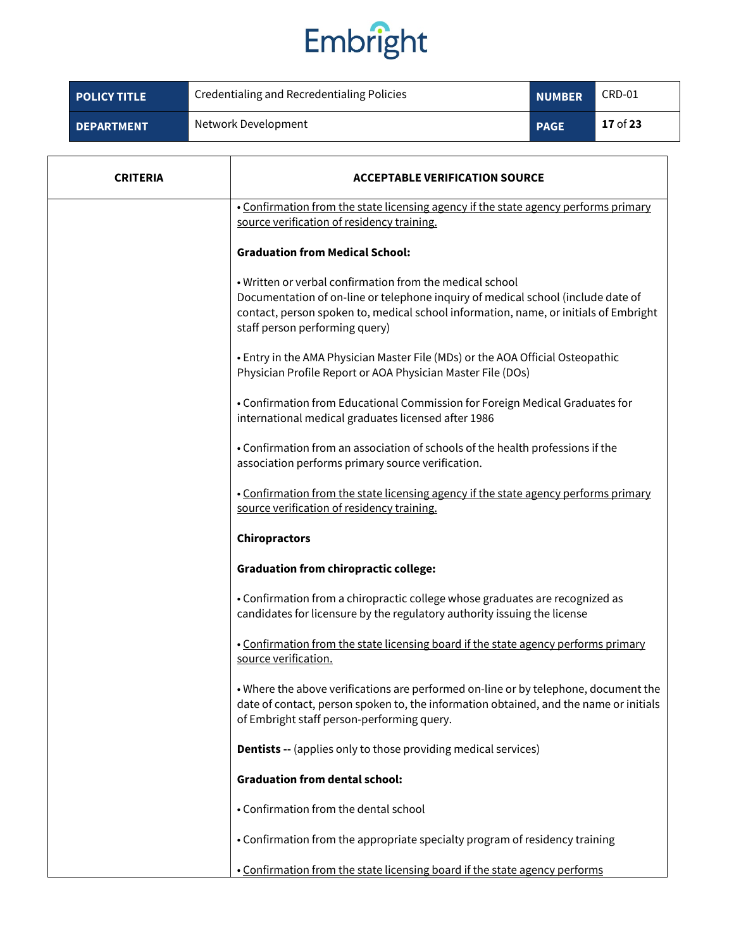| <b>POLICY TITLE</b> | Credentialing and Recredentialing Policies | <b>NUMBER</b> | CRD-01   |
|---------------------|--------------------------------------------|---------------|----------|
| <b>DEPARTMENT</b>   | Network Development                        | <b>PAGE</b>   | 17 of 23 |

| <b>CRITERIA</b> | <b>ACCEPTABLE VERIFICATION SOURCE</b>                                                                                                                                                                                                                                  |  |
|-----------------|------------------------------------------------------------------------------------------------------------------------------------------------------------------------------------------------------------------------------------------------------------------------|--|
|                 | . Confirmation from the state licensing agency if the state agency performs primary<br>source verification of residency training.                                                                                                                                      |  |
|                 | <b>Graduation from Medical School:</b>                                                                                                                                                                                                                                 |  |
|                 | . Written or verbal confirmation from the medical school<br>Documentation of on-line or telephone inquiry of medical school (include date of<br>contact, person spoken to, medical school information, name, or initials of Embright<br>staff person performing query) |  |
|                 | • Entry in the AMA Physician Master File (MDs) or the AOA Official Osteopathic<br>Physician Profile Report or AOA Physician Master File (DOs)                                                                                                                          |  |
|                 | • Confirmation from Educational Commission for Foreign Medical Graduates for<br>international medical graduates licensed after 1986                                                                                                                                    |  |
|                 | . Confirmation from an association of schools of the health professions if the<br>association performs primary source verification.                                                                                                                                    |  |
|                 | . Confirmation from the state licensing agency if the state agency performs primary<br>source verification of residency training.                                                                                                                                      |  |
|                 | <b>Chiropractors</b>                                                                                                                                                                                                                                                   |  |
|                 | <b>Graduation from chiropractic college:</b>                                                                                                                                                                                                                           |  |
|                 | • Confirmation from a chiropractic college whose graduates are recognized as<br>candidates for licensure by the regulatory authority issuing the license                                                                                                               |  |
|                 | . Confirmation from the state licensing board if the state agency performs primary<br>source verification.                                                                                                                                                             |  |
|                 | • Where the above verifications are performed on-line or by telephone, document the<br>date of contact, person spoken to, the information obtained, and the name or initials<br>of Embright staff person-performing query.                                             |  |
|                 | <b>Dentists --</b> (applies only to those providing medical services)                                                                                                                                                                                                  |  |
|                 | <b>Graduation from dental school:</b>                                                                                                                                                                                                                                  |  |
|                 | • Confirmation from the dental school                                                                                                                                                                                                                                  |  |
|                 | • Confirmation from the appropriate specialty program of residency training                                                                                                                                                                                            |  |
|                 | . Confirmation from the state licensing board if the state agency performs                                                                                                                                                                                             |  |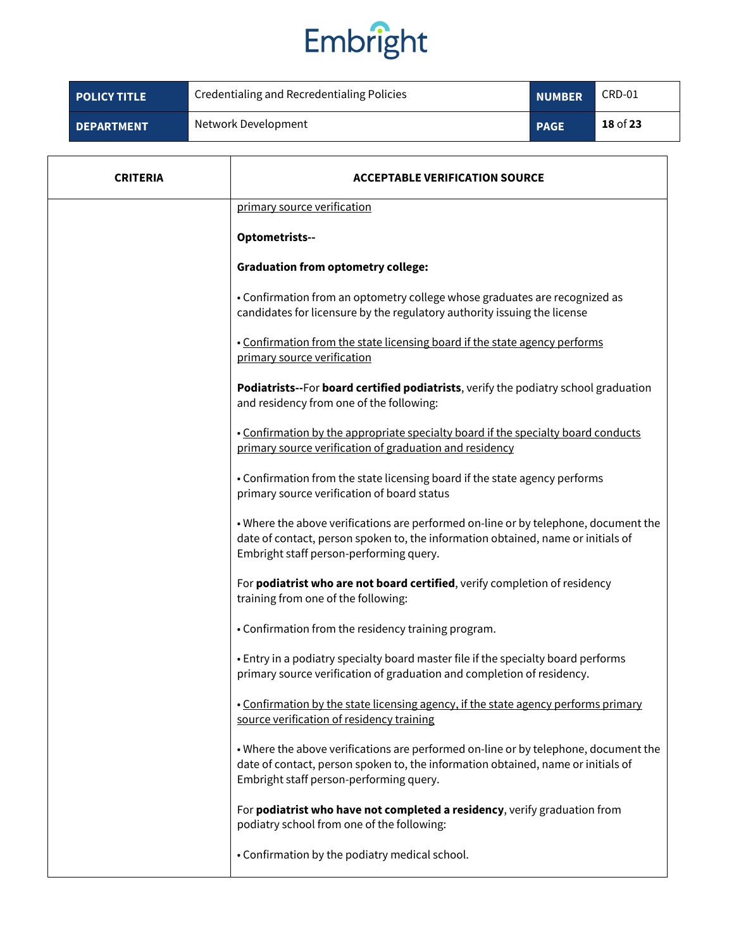| <b>POLICY TITLE</b> | Credentialing and Recredentialing Policies | <b>NUMBER</b> | CRD-01     |
|---------------------|--------------------------------------------|---------------|------------|
| <b>DEPARTMENT</b>   | Network Development                        | <b>PAGE</b>   | 18 of $23$ |

| <b>CRITERIA</b> | <b>ACCEPTABLE VERIFICATION SOURCE</b>                                                                                                                                                                              |  |  |
|-----------------|--------------------------------------------------------------------------------------------------------------------------------------------------------------------------------------------------------------------|--|--|
|                 | primary source verification                                                                                                                                                                                        |  |  |
|                 | Optometrists--                                                                                                                                                                                                     |  |  |
|                 | <b>Graduation from optometry college:</b>                                                                                                                                                                          |  |  |
|                 | • Confirmation from an optometry college whose graduates are recognized as<br>candidates for licensure by the regulatory authority issuing the license                                                             |  |  |
|                 | . Confirmation from the state licensing board if the state agency performs<br>primary source verification                                                                                                          |  |  |
|                 | Podiatrists--For board certified podiatrists, verify the podiatry school graduation<br>and residency from one of the following:                                                                                    |  |  |
|                 | . Confirmation by the appropriate specialty board if the specialty board conducts<br>primary source verification of graduation and residency                                                                       |  |  |
|                 | • Confirmation from the state licensing board if the state agency performs<br>primary source verification of board status                                                                                          |  |  |
|                 | . Where the above verifications are performed on-line or by telephone, document the<br>date of contact, person spoken to, the information obtained, name or initials of<br>Embright staff person-performing query. |  |  |
|                 | For podiatrist who are not board certified, verify completion of residency<br>training from one of the following:                                                                                                  |  |  |
|                 | • Confirmation from the residency training program.                                                                                                                                                                |  |  |
|                 | . Entry in a podiatry specialty board master file if the specialty board performs<br>primary source verification of graduation and completion of residency.                                                        |  |  |
|                 | . Confirmation by the state licensing agency, if the state agency performs primary<br>source verification of residency training                                                                                    |  |  |
|                 | . Where the above verifications are performed on-line or by telephone, document the<br>date of contact, person spoken to, the information obtained, name or initials of<br>Embright staff person-performing query. |  |  |
|                 | For podiatrist who have not completed a residency, verify graduation from<br>podiatry school from one of the following:                                                                                            |  |  |
|                 | • Confirmation by the podiatry medical school.                                                                                                                                                                     |  |  |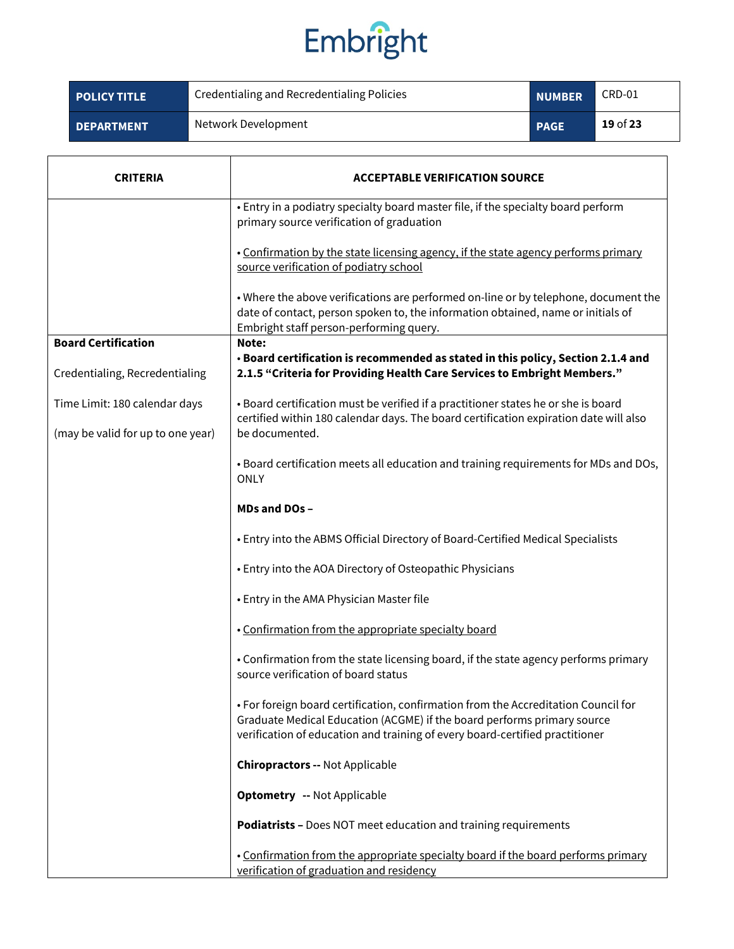| <b>POLICY TITLE</b> | Credentialing and Recredentialing Policies | <b>NUMBER</b> | CRD-01     |
|---------------------|--------------------------------------------|---------------|------------|
| <b>DEPARTMENT</b>   | Network Development                        | <b>PAGE</b>   | $19$ of 23 |

| <b>CRITERIA</b>                   | <b>ACCEPTABLE VERIFICATION SOURCE</b>                                                                                                                                                                                                         |
|-----------------------------------|-----------------------------------------------------------------------------------------------------------------------------------------------------------------------------------------------------------------------------------------------|
|                                   | • Entry in a podiatry specialty board master file, if the specialty board perform<br>primary source verification of graduation                                                                                                                |
|                                   | . Confirmation by the state licensing agency, if the state agency performs primary<br>source verification of podiatry school                                                                                                                  |
|                                   | . Where the above verifications are performed on-line or by telephone, document the<br>date of contact, person spoken to, the information obtained, name or initials of<br>Embright staff person-performing query.                            |
| <b>Board Certification</b>        | Note:                                                                                                                                                                                                                                         |
|                                   | . Board certification is recommended as stated in this policy, Section 2.1.4 and                                                                                                                                                              |
| Credentialing, Recredentialing    | 2.1.5 "Criteria for Providing Health Care Services to Embright Members."                                                                                                                                                                      |
|                                   |                                                                                                                                                                                                                                               |
| Time Limit: 180 calendar days     | • Board certification must be verified if a practitioner states he or she is board<br>certified within 180 calendar days. The board certification expiration date will also                                                                   |
| (may be valid for up to one year) | be documented.                                                                                                                                                                                                                                |
|                                   | . Board certification meets all education and training requirements for MDs and DOs,<br><b>ONLY</b>                                                                                                                                           |
|                                   | MDs and DOs-                                                                                                                                                                                                                                  |
|                                   | • Entry into the ABMS Official Directory of Board-Certified Medical Specialists                                                                                                                                                               |
|                                   | • Entry into the AOA Directory of Osteopathic Physicians                                                                                                                                                                                      |
|                                   | • Entry in the AMA Physician Master file                                                                                                                                                                                                      |
|                                   | . Confirmation from the appropriate specialty board                                                                                                                                                                                           |
|                                   | • Confirmation from the state licensing board, if the state agency performs primary<br>source verification of board status                                                                                                                    |
|                                   | • For foreign board certification, confirmation from the Accreditation Council for<br>Graduate Medical Education (ACGME) if the board performs primary source<br>verification of education and training of every board-certified practitioner |
|                                   | <b>Chiropractors -- Not Applicable</b>                                                                                                                                                                                                        |
|                                   | <b>Optometry -- Not Applicable</b>                                                                                                                                                                                                            |
|                                   | Podiatrists - Does NOT meet education and training requirements                                                                                                                                                                               |
|                                   | . Confirmation from the appropriate specialty board if the board performs primary<br>verification of graduation and residency                                                                                                                 |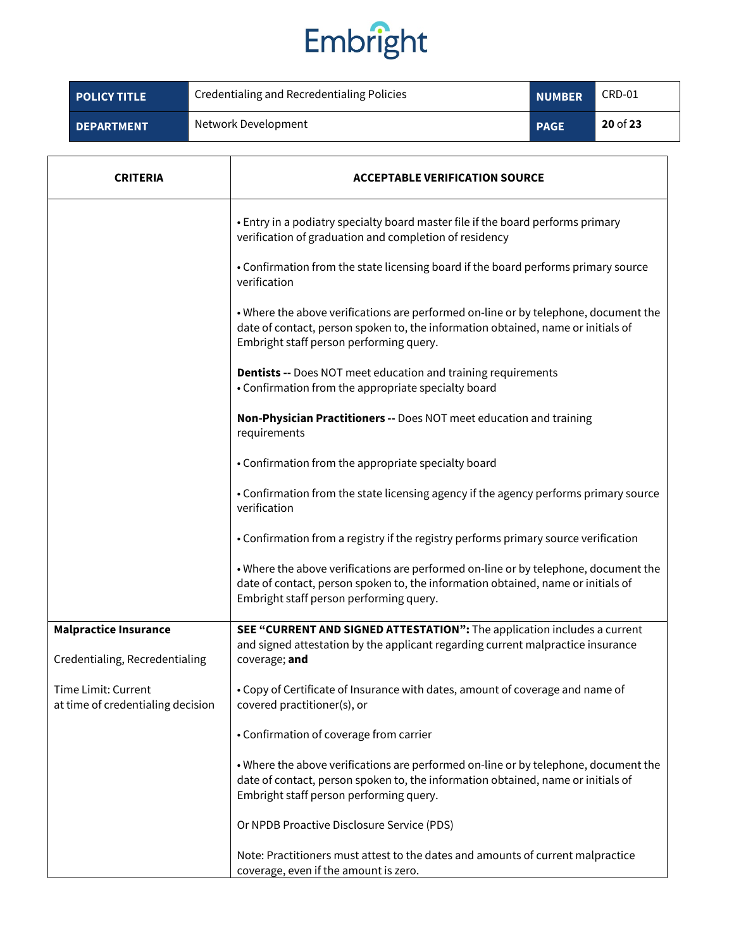| <b>POLICY TITLE</b> | Credentialing and Recredentialing Policies | <b>NUMBER</b> | CRD-01     |
|---------------------|--------------------------------------------|---------------|------------|
| <b>DEPARTMENT</b>   | Network Development                        | <b>PAGE</b>   | $20$ of 23 |

| <b>CRITERIA</b>                                                | <b>ACCEPTABLE VERIFICATION SOURCE</b>                                                                                                                                                                              |
|----------------------------------------------------------------|--------------------------------------------------------------------------------------------------------------------------------------------------------------------------------------------------------------------|
|                                                                | • Entry in a podiatry specialty board master file if the board performs primary<br>verification of graduation and completion of residency                                                                          |
|                                                                | • Confirmation from the state licensing board if the board performs primary source<br>verification                                                                                                                 |
|                                                                | . Where the above verifications are performed on-line or by telephone, document the<br>date of contact, person spoken to, the information obtained, name or initials of<br>Embright staff person performing query. |
|                                                                | <b>Dentists --</b> Does NOT meet education and training requirements<br>• Confirmation from the appropriate specialty board                                                                                        |
|                                                                | Non-Physician Practitioners -- Does NOT meet education and training<br>requirements                                                                                                                                |
|                                                                | • Confirmation from the appropriate specialty board                                                                                                                                                                |
|                                                                | • Confirmation from the state licensing agency if the agency performs primary source<br>verification                                                                                                               |
|                                                                | • Confirmation from a registry if the registry performs primary source verification                                                                                                                                |
|                                                                | . Where the above verifications are performed on-line or by telephone, document the<br>date of contact, person spoken to, the information obtained, name or initials of<br>Embright staff person performing query. |
| <b>Malpractice Insurance</b><br>Credentialing, Recredentialing | SEE "CURRENT AND SIGNED ATTESTATION": The application includes a current<br>and signed attestation by the applicant regarding current malpractice insurance<br>coverage; and                                       |
| Time Limit: Current<br>at time of credentialing decision       | • Copy of Certificate of Insurance with dates, amount of coverage and name of<br>covered practitioner(s), or                                                                                                       |
|                                                                | • Confirmation of coverage from carrier                                                                                                                                                                            |
|                                                                | . Where the above verifications are performed on-line or by telephone, document the<br>date of contact, person spoken to, the information obtained, name or initials of<br>Embright staff person performing query. |
|                                                                | Or NPDB Proactive Disclosure Service (PDS)                                                                                                                                                                         |
|                                                                | Note: Practitioners must attest to the dates and amounts of current malpractice<br>coverage, even if the amount is zero.                                                                                           |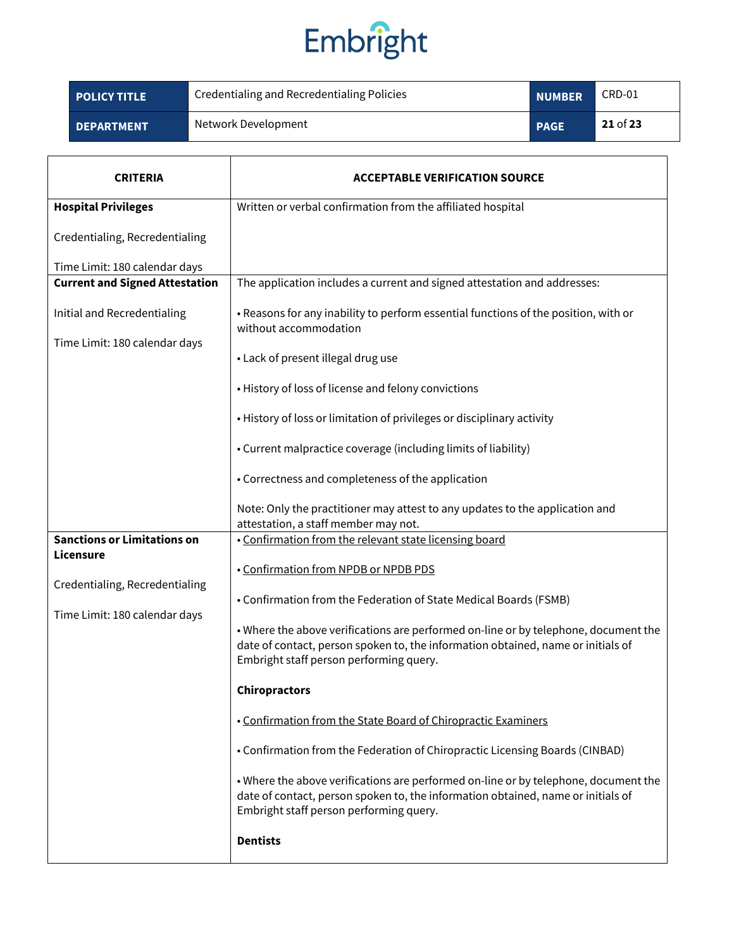| <b>POLICY TITLE</b> | Credentialing and Recredentialing Policies | <b>NUMBER</b> | CRD-01     |
|---------------------|--------------------------------------------|---------------|------------|
| <b>DEPARTMENT</b>   | Network Development                        | <b>PAGE</b>   | $21$ of 23 |

| CRITERIA                                        | <b>ACCEPTABLE VERIFICATION SOURCE</b>                                                                                                                                                                              |
|-------------------------------------------------|--------------------------------------------------------------------------------------------------------------------------------------------------------------------------------------------------------------------|
| <b>Hospital Privileges</b>                      | Written or verbal confirmation from the affiliated hospital                                                                                                                                                        |
| Credentialing, Recredentialing                  |                                                                                                                                                                                                                    |
| Time Limit: 180 calendar days                   |                                                                                                                                                                                                                    |
| <b>Current and Signed Attestation</b>           | The application includes a current and signed attestation and addresses:                                                                                                                                           |
| Initial and Recredentialing                     | • Reasons for any inability to perform essential functions of the position, with or<br>without accommodation                                                                                                       |
| Time Limit: 180 calendar days                   | • Lack of present illegal drug use                                                                                                                                                                                 |
|                                                 | • History of loss of license and felony convictions                                                                                                                                                                |
|                                                 | • History of loss or limitation of privileges or disciplinary activity                                                                                                                                             |
|                                                 | • Current malpractice coverage (including limits of liability)                                                                                                                                                     |
|                                                 | • Correctness and completeness of the application                                                                                                                                                                  |
|                                                 | Note: Only the practitioner may attest to any updates to the application and<br>attestation, a staff member may not.                                                                                               |
| <b>Sanctions or Limitations on</b><br>Licensure | . Confirmation from the relevant state licensing board                                                                                                                                                             |
|                                                 | . Confirmation from NPDB or NPDB PDS                                                                                                                                                                               |
| Credentialing, Recredentialing                  | • Confirmation from the Federation of State Medical Boards (FSMB)                                                                                                                                                  |
| Time Limit: 180 calendar days                   | . Where the above verifications are performed on-line or by telephone, document the<br>date of contact, person spoken to, the information obtained, name or initials of<br>Embright staff person performing query. |
|                                                 | <b>Chiropractors</b>                                                                                                                                                                                               |
|                                                 | • Confirmation from the State Board of Chiropractic Examiners                                                                                                                                                      |
|                                                 | • Confirmation from the Federation of Chiropractic Licensing Boards (CINBAD)                                                                                                                                       |
|                                                 | . Where the above verifications are performed on-line or by telephone, document the<br>date of contact, person spoken to, the information obtained, name or initials of<br>Embright staff person performing query. |
|                                                 | <b>Dentists</b>                                                                                                                                                                                                    |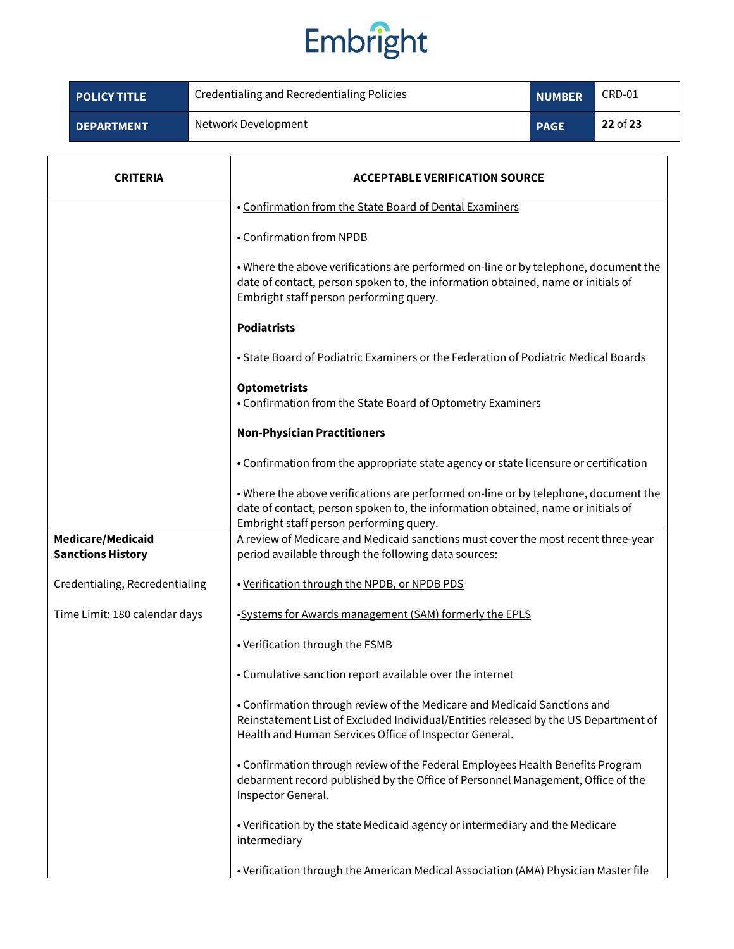| <b>POLICY TITLE</b> | Credentialing and Recredentialing Policies | <b>NUMBER</b> | CRD-01     |
|---------------------|--------------------------------------------|---------------|------------|
| <b>DEPARTMENT</b>   | Network Development                        | <b>PAGE</b>   | $22$ of 23 |

| CRITERIA                       | <b>ACCEPTABLE VERIFICATION SOURCE</b>                                                                                                                                                                                     |
|--------------------------------|---------------------------------------------------------------------------------------------------------------------------------------------------------------------------------------------------------------------------|
|                                | . Confirmation from the State Board of Dental Examiners                                                                                                                                                                   |
|                                | • Confirmation from NPDB                                                                                                                                                                                                  |
|                                | . Where the above verifications are performed on-line or by telephone, document the<br>date of contact, person spoken to, the information obtained, name or initials of<br>Embright staff person performing query.        |
|                                | <b>Podiatrists</b>                                                                                                                                                                                                        |
|                                | • State Board of Podiatric Examiners or the Federation of Podiatric Medical Boards                                                                                                                                        |
|                                | <b>Optometrists</b><br>• Confirmation from the State Board of Optometry Examiners                                                                                                                                         |
|                                | <b>Non-Physician Practitioners</b>                                                                                                                                                                                        |
|                                | • Confirmation from the appropriate state agency or state licensure or certification                                                                                                                                      |
|                                | . Where the above verifications are performed on-line or by telephone, document the<br>date of contact, person spoken to, the information obtained, name or initials of<br>Embright staff person performing query.        |
| Medicare/Medicaid              | A review of Medicare and Medicaid sanctions must cover the most recent three-year                                                                                                                                         |
| <b>Sanctions History</b>       | period available through the following data sources:                                                                                                                                                                      |
| Credentialing, Recredentialing | . Verification through the NPDB, or NPDB PDS                                                                                                                                                                              |
| Time Limit: 180 calendar days  | . Systems for Awards management (SAM) formerly the EPLS                                                                                                                                                                   |
|                                | • Verification through the FSMB                                                                                                                                                                                           |
|                                | • Cumulative sanction report available over the internet                                                                                                                                                                  |
|                                | • Confirmation through review of the Medicare and Medicaid Sanctions and<br>Reinstatement List of Excluded Individual/Entities released by the US Department of<br>Health and Human Services Office of Inspector General. |
|                                | • Confirmation through review of the Federal Employees Health Benefits Program<br>debarment record published by the Office of Personnel Management, Office of the<br>Inspector General.                                   |
|                                | • Verification by the state Medicaid agency or intermediary and the Medicare<br>intermediary                                                                                                                              |
|                                | • Verification through the American Medical Association (AMA) Physician Master file                                                                                                                                       |